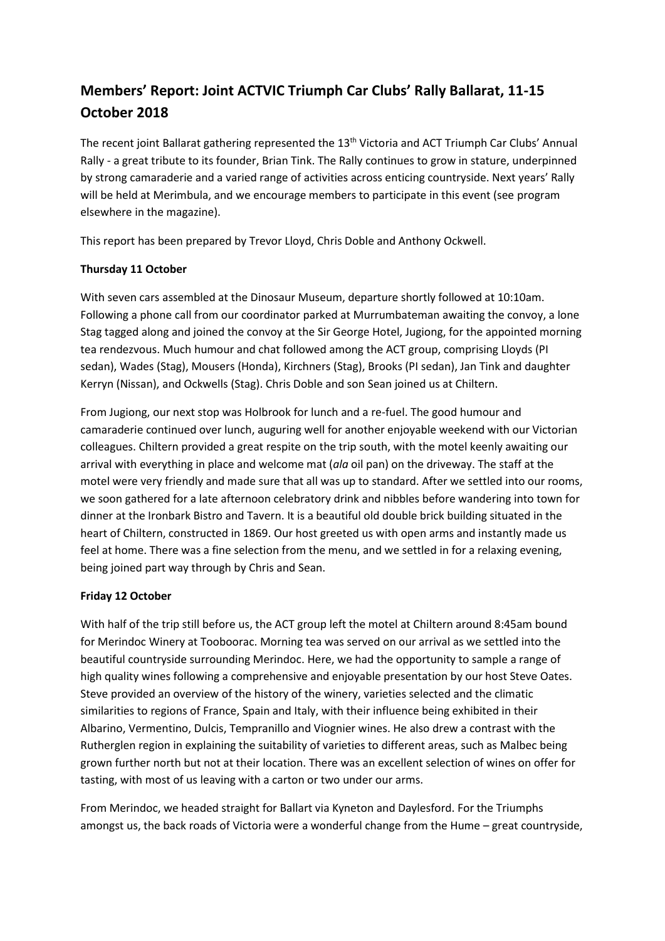# **Members' Report: Joint ACTVIC Triumph Car Clubs' Rally Ballarat, 11-15 October 2018**

The recent joint Ballarat gathering represented the 13<sup>th</sup> Victoria and ACT Triumph Car Clubs' Annual Rally - a great tribute to its founder, Brian Tink. The Rally continues to grow in stature, underpinned by strong camaraderie and a varied range of activities across enticing countryside. Next years' Rally will be held at Merimbula, and we encourage members to participate in this event (see program elsewhere in the magazine).

This report has been prepared by Trevor Lloyd, Chris Doble and Anthony Ockwell.

# **Thursday 11 October**

With seven cars assembled at the Dinosaur Museum, departure shortly followed at 10:10am. Following a phone call from our coordinator parked at Murrumbateman awaiting the convoy, a lone Stag tagged along and joined the convoy at the Sir George Hotel, Jugiong, for the appointed morning tea rendezvous. Much humour and chat followed among the ACT group, comprising Lloyds (PI sedan), Wades (Stag), Mousers (Honda), Kirchners (Stag), Brooks (PI sedan), Jan Tink and daughter Kerryn (Nissan), and Ockwells (Stag). Chris Doble and son Sean joined us at Chiltern.

From Jugiong, our next stop was Holbrook for lunch and a re-fuel. The good humour and camaraderie continued over lunch, auguring well for another enjoyable weekend with our Victorian colleagues. Chiltern provided a great respite on the trip south, with the motel keenly awaiting our arrival with everything in place and welcome mat (*ala* oil pan) on the driveway. The staff at the motel were very friendly and made sure that all was up to standard. After we settled into our rooms, we soon gathered for a late afternoon celebratory drink and nibbles before wandering into town for dinner at the Ironbark Bistro and Tavern. It is a beautiful old double brick building situated in the heart of Chiltern, constructed in 1869. Our host greeted us with open arms and instantly made us feel at home. There was a fine selection from the menu, and we settled in for a relaxing evening, being joined part way through by Chris and Sean.

## **Friday 12 October**

With half of the trip still before us, the ACT group left the motel at Chiltern around 8:45am bound for Merindoc Winery at Tooboorac. Morning tea was served on our arrival as we settled into the beautiful countryside surrounding Merindoc. Here, we had the opportunity to sample a range of high quality wines following a comprehensive and enjoyable presentation by our host Steve Oates. Steve provided an overview of the history of the winery, varieties selected and the climatic similarities to regions of France, Spain and Italy, with their influence being exhibited in their Albarino, Vermentino, Dulcis, Tempranillo and Viognier wines. He also drew a contrast with the Rutherglen region in explaining the suitability of varieties to different areas, such as Malbec being grown further north but not at their location. There was an excellent selection of wines on offer for tasting, with most of us leaving with a carton or two under our arms.

From Merindoc, we headed straight for Ballart via Kyneton and Daylesford. For the Triumphs amongst us, the back roads of Victoria were a wonderful change from the Hume – great countryside,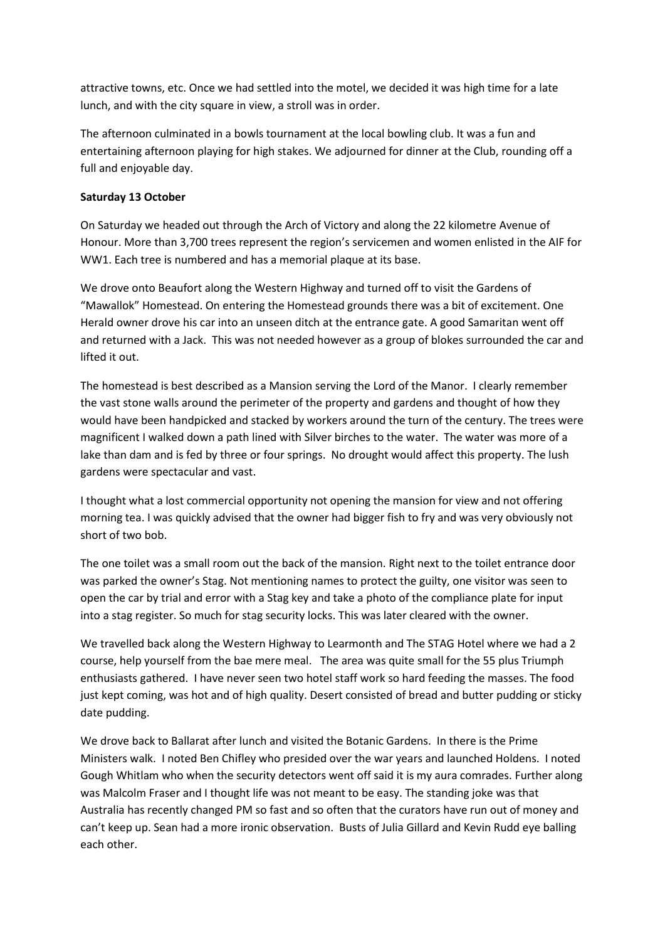attractive towns, etc. Once we had settled into the motel, we decided it was high time for a late lunch, and with the city square in view, a stroll was in order.

The afternoon culminated in a bowls tournament at the local bowling club. It was a fun and entertaining afternoon playing for high stakes. We adjourned for dinner at the Club, rounding off a full and enjoyable day.

#### **Saturday 13 October**

On Saturday we headed out through the Arch of Victory and along the 22 kilometre Avenue of Honour. More than 3,700 trees represent the region's servicemen and women enlisted in the AIF for WW1. Each tree is numbered and has a memorial plaque at its base.

We drove onto Beaufort along the Western Highway and turned off to visit the Gardens of "Mawallok" Homestead. On entering the Homestead grounds there was a bit of excitement. One Herald owner drove his car into an unseen ditch at the entrance gate. A good Samaritan went off and returned with a Jack. This was not needed however as a group of blokes surrounded the car and lifted it out.

The homestead is best described as a Mansion serving the Lord of the Manor. I clearly remember the vast stone walls around the perimeter of the property and gardens and thought of how they would have been handpicked and stacked by workers around the turn of the century. The trees were magnificent I walked down a path lined with Silver birches to the water. The water was more of a lake than dam and is fed by three or four springs. No drought would affect this property. The lush gardens were spectacular and vast.

I thought what a lost commercial opportunity not opening the mansion for view and not offering morning tea. I was quickly advised that the owner had bigger fish to fry and was very obviously not short of two bob.

The one toilet was a small room out the back of the mansion. Right next to the toilet entrance door was parked the owner's Stag. Not mentioning names to protect the guilty, one visitor was seen to open the car by trial and error with a Stag key and take a photo of the compliance plate for input into a stag register. So much for stag security locks. This was later cleared with the owner.

We travelled back along the Western Highway to Learmonth and The STAG Hotel where we had a 2 course, help yourself from the bae mere meal. The area was quite small for the 55 plus Triumph enthusiasts gathered. I have never seen two hotel staff work so hard feeding the masses. The food just kept coming, was hot and of high quality. Desert consisted of bread and butter pudding or sticky date pudding.

We drove back to Ballarat after lunch and visited the Botanic Gardens. In there is the Prime Ministers walk. I noted Ben Chifley who presided over the war years and launched Holdens. I noted Gough Whitlam who when the security detectors went off said it is my aura comrades. Further along was Malcolm Fraser and I thought life was not meant to be easy. The standing joke was that Australia has recently changed PM so fast and so often that the curators have run out of money and can't keep up. Sean had a more ironic observation. Busts of Julia Gillard and Kevin Rudd eye balling each other.